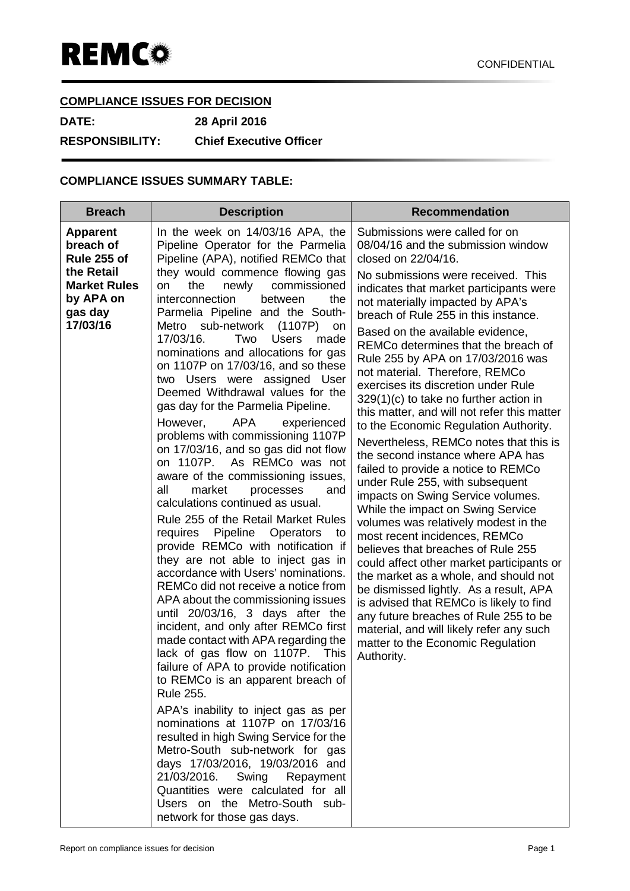# **COMPLIANCE ISSUES FOR DECISION**

**DATE: 28 April 2016**

**RESPONSIBILITY: Chief Executive Officer**

## **COMPLIANCE ISSUES SUMMARY TABLE:**

| <b>Breach</b>                                                                                                        | <b>Description</b>                                                                                                                                                                                                                                                                                                                                                                                                                                                                                                                                                                                                                                                                                                                                                                                                                                                                                                                                                                                                                                                                                                                                                                                                                                                                                                                                                                                                                                                                                                                                                                                                                                                                | <b>Recommendation</b>                                                                                                                                                                                                                                                                                                                                                                                                                                                                                                                                                                                                                                                                                                                                                                                                                                                                                                                                                                                                                                                                                                                                                                                                                                      |
|----------------------------------------------------------------------------------------------------------------------|-----------------------------------------------------------------------------------------------------------------------------------------------------------------------------------------------------------------------------------------------------------------------------------------------------------------------------------------------------------------------------------------------------------------------------------------------------------------------------------------------------------------------------------------------------------------------------------------------------------------------------------------------------------------------------------------------------------------------------------------------------------------------------------------------------------------------------------------------------------------------------------------------------------------------------------------------------------------------------------------------------------------------------------------------------------------------------------------------------------------------------------------------------------------------------------------------------------------------------------------------------------------------------------------------------------------------------------------------------------------------------------------------------------------------------------------------------------------------------------------------------------------------------------------------------------------------------------------------------------------------------------------------------------------------------------|------------------------------------------------------------------------------------------------------------------------------------------------------------------------------------------------------------------------------------------------------------------------------------------------------------------------------------------------------------------------------------------------------------------------------------------------------------------------------------------------------------------------------------------------------------------------------------------------------------------------------------------------------------------------------------------------------------------------------------------------------------------------------------------------------------------------------------------------------------------------------------------------------------------------------------------------------------------------------------------------------------------------------------------------------------------------------------------------------------------------------------------------------------------------------------------------------------------------------------------------------------|
| <b>Apparent</b><br>breach of<br>Rule 255 of<br>the Retail<br><b>Market Rules</b><br>by APA on<br>gas day<br>17/03/16 | In the week on 14/03/16 APA, the<br>Pipeline Operator for the Parmelia<br>Pipeline (APA), notified REMCo that<br>they would commence flowing gas<br>newly commissioned<br>on<br>the<br>interconnection<br>between<br>the<br>Parmelia Pipeline and the South-<br>Metro sub-network (1107P)<br>on<br>17/03/16.<br>Two<br><b>Users</b><br>made<br>nominations and allocations for gas<br>on 1107P on 17/03/16, and so these<br>two Users were assigned User<br>Deemed Withdrawal values for the<br>gas day for the Parmelia Pipeline.<br><b>APA</b><br>However,<br>experienced<br>problems with commissioning 1107P<br>on 17/03/16, and so gas did not flow<br>on 1107P. As REMCo was not<br>aware of the commissioning issues,<br>all<br>market<br>processes<br>and<br>calculations continued as usual.<br>Rule 255 of the Retail Market Rules<br>requires Pipeline Operators<br>to<br>provide REMCo with notification if<br>they are not able to inject gas in<br>accordance with Users' nominations.<br>REMCo did not receive a notice from<br>APA about the commissioning issues<br>until 20/03/16, 3 days after the<br>incident, and only after REMCo first<br>made contact with APA regarding the<br>lack of gas flow on 1107P. This<br>failure of APA to provide notification<br>to REMCo is an apparent breach of<br><b>Rule 255.</b><br>APA's inability to inject gas as per<br>nominations at 1107P on 17/03/16<br>resulted in high Swing Service for the<br>Metro-South sub-network for gas<br>days 17/03/2016, 19/03/2016 and<br>21/03/2016.<br>Swing<br>Repayment<br>Quantities were calculated for all<br>Users on the Metro-South sub-<br>network for those gas days. | Submissions were called for on<br>08/04/16 and the submission window<br>closed on 22/04/16.<br>No submissions were received. This<br>indicates that market participants were<br>not materially impacted by APA's<br>breach of Rule 255 in this instance.<br>Based on the available evidence,<br>REMCo determines that the breach of<br>Rule 255 by APA on 17/03/2016 was<br>not material. Therefore, REMCo<br>exercises its discretion under Rule<br>$329(1)(c)$ to take no further action in<br>this matter, and will not refer this matter<br>to the Economic Regulation Authority.<br>Nevertheless, REMCo notes that this is<br>the second instance where APA has<br>failed to provide a notice to REMCo<br>under Rule 255, with subsequent<br>impacts on Swing Service volumes.<br>While the impact on Swing Service<br>volumes was relatively modest in the<br>most recent incidences, REMCo<br>believes that breaches of Rule 255<br>could affect other market participants or<br>the market as a whole, and should not<br>be dismissed lightly. As a result, APA<br>is advised that REMCo is likely to find<br>any future breaches of Rule 255 to be<br>material, and will likely refer any such<br>matter to the Economic Regulation<br>Authority. |